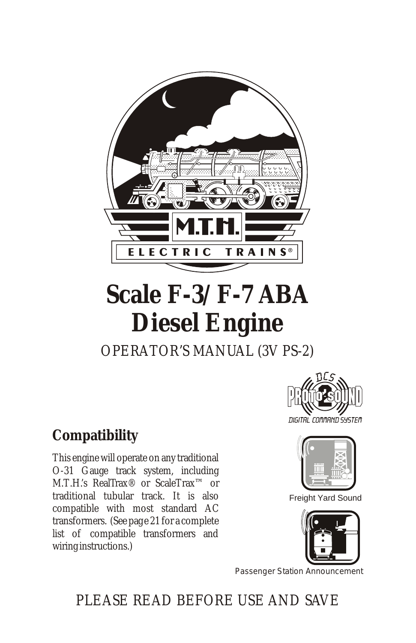

# **Scale F-3/F-7 ABA Diesel Engine** OPERATOR'S MANUAL (3V PS-2)

## **Compatibility**

This engine will operate on any traditional O-31 Gauge track system, including M.T.H.'s RealTrax® or ScaleTrax™ or traditional tubular track. It is also compatible with most standard AC transformers. (See page 21 for a complete list of compatible transformers and wiring instructions.)





Freight Yard Sound



Passenger Station Announcement

## PLEASE READ BEFORE USE AND SAVE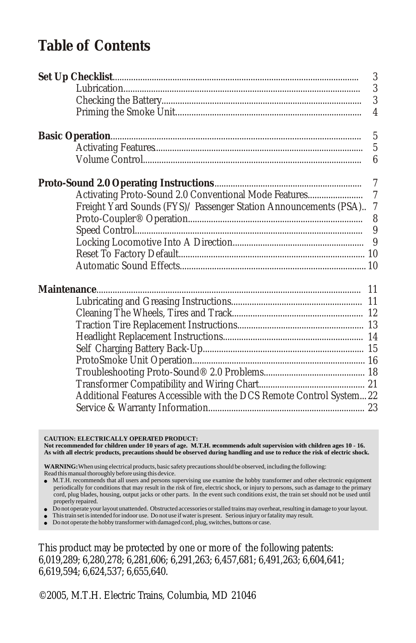### **Table of Contents**

|                                                                     | 3                |
|---------------------------------------------------------------------|------------------|
|                                                                     | $\overline{3}$   |
|                                                                     | 3                |
|                                                                     |                  |
|                                                                     | $\overline{5}$   |
|                                                                     | $\overline{5}$   |
|                                                                     | $\boldsymbol{6}$ |
|                                                                     |                  |
|                                                                     |                  |
| Freight Yard Sounds (FYS)/ Passenger Station Announcements (PSA) 7  |                  |
|                                                                     |                  |
|                                                                     |                  |
|                                                                     |                  |
|                                                                     |                  |
|                                                                     |                  |
|                                                                     |                  |
|                                                                     |                  |
|                                                                     |                  |
|                                                                     |                  |
|                                                                     |                  |
|                                                                     |                  |
|                                                                     |                  |
|                                                                     |                  |
|                                                                     |                  |
| Additional Features Accessible with the DCS Remote Control System22 |                  |
|                                                                     |                  |
|                                                                     |                  |

#### **CAUTION: ELECTRICALLY OPERATED PRODUCT:**

**Not recommended for children under 10 years of age. M.T.H. recommends adult supervision with children ages 10 - 16. As with all electric products, precautions should be observed during handling and use to reduce the risk of electric shock.**

**WARNING:** When using electrical products, basic safety precautions should be observed, including the following: Read this manual thoroughly before using this device.

- <sup>l</sup> M.T.H. recommends that all users and persons supervising use examine the hobby transformer and other electronic equipment periodically for conditions that may result in the risk of fire, electric shock, or injury to persons, such as damage to the primary cord, plug blades, housing, output jacks or other parts. In the event such conditions exist, the train set should not be used until properly repaired.
- <sup>l</sup> Do not operate your layout unattended. Obstructed accessories or stalled trains may overheat, resulting in damage to your layout.
- <sup>l</sup> This train set is intended for indoor use. Do not use if water is present. Serious injury or fatality may result.
- $\bullet$  Do not operate the hobby transformer with damaged cord, plug, switches, buttons or case.

This product may be protected by one or more of the following patents: 6,019,289; 6,280,278; 6,281,606; 6,291,263; 6,457,681; 6,491,263; 6,604,641; 6,619,594; 6,624,537; 6,655,640.

©2005, M.T.H. Electric Trains, Columbia, MD 21046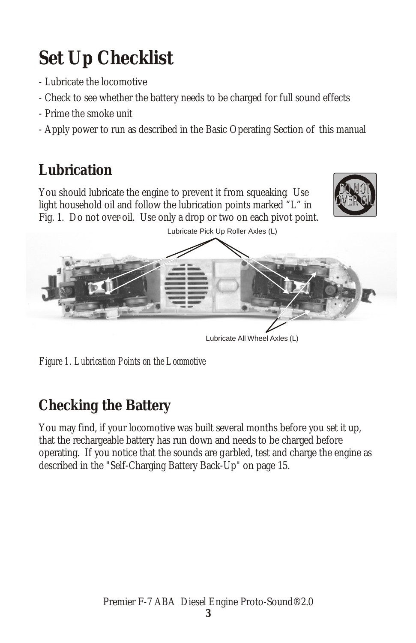# **Set Up Checklist**

- Lubricate the locomotive
- Check to see whether the battery needs to be charged for full sound effects
- Prime the smoke unit
- Apply power to run as described in the Basic Operating Section of this manual

## **Lubrication**

You should lubricate the engine to prevent it from squeaking. Use light household oil and follow the lubrication points marked "L" in Fig. 1. Do not over-oil. Use only a drop or two on each pivot point.





*Figure 1. Lubrication Points on the Locomotive*

## **Checking the Battery**

You may find, if your locomotive was built several months before you set it up, that the rechargeable battery has run down and needs to be charged before operating. If you notice that the sounds are garbled, test and charge the engine as described in the "Self-Charging Battery Back-Up" on page 15.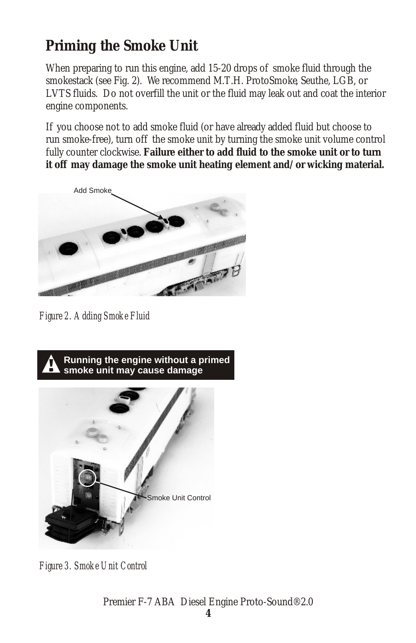## **Priming the Smoke Unit**

When preparing to run this engine, add 15-20 drops of smoke fluid through the smokestack (see Fig. 2). We recommend M.T.H. ProtoSmoke, Seuthe, LGB, or LVTS fluids. Do not overfill the unit or the fluid may leak out and coat the interior engine components.

If you choose not to add smoke fluid (or have already added fluid but choose to run smoke-free), turn off the smoke unit by turning the smoke unit volume control fully counter clockwise. **Failure either to add fluid to the smoke unit or to turn it off may damage the smoke unit heating element and/or wicking material.**



*Figure 2. Adding Smoke Fluid*



*Figure 3. Smoke Unit Control*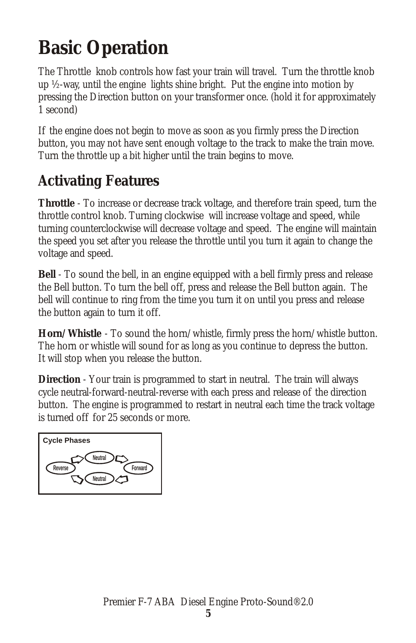## **Basic Operation**

The Throttle knob controls how fast your train will travel. Turn the throttle knob up ½-way, until the engine lights shine bright. Put the engine into motion by pressing the Direction button on your transformer once. (hold it for approximately 1 second)

If the engine does not begin to move as soon as you firmly press the Direction button, you may not have sent enough voltage to the track to make the train move. Turn the throttle up a bit higher until the train begins to move.

## **Activating Features**

**Throttle** - To increase or decrease track voltage, and therefore train speed, turn the throttle control knob. Turning clockwise will increase voltage and speed, while turning counterclockwise will decrease voltage and speed. The engine will maintain the speed you set after you release the throttle until you turn it again to change the voltage and speed.

**Bell** - To sound the bell, in an engine equipped with a bell firmly press and release the Bell button. To turn the bell off, press and release the Bell button again. The bell will continue to ring from the time you turn it on until you press and release the button again to turn it off.

**Horn/Whistle** - To sound the horn/whistle, firmly press the horn/whistle button. The horn or whistle will sound for as long as you continue to depress the button. It will stop when you release the button.

**Direction** - Your train is programmed to start in neutral. The train will always cycle neutral-forward-neutral-reverse with each press and release of the direction button. The engine is programmed to restart in neutral each time the track voltage is turned off for 25 seconds or more.

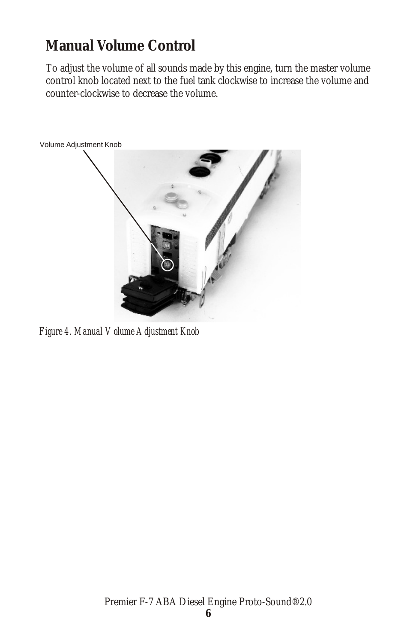## **Manual Volume Control**

To adjust the volume of all sounds made by this engine, turn the master volume control knob located next to the fuel tank clockwise to increase the volume and counter-clockwise to decrease the volume.



*Figure 4. Manual Volume Adjustment Knob*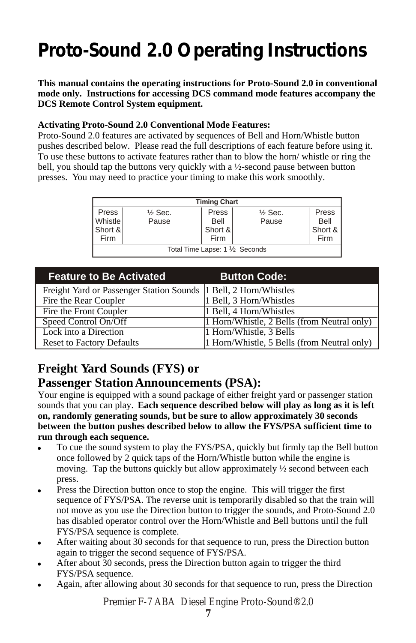## **Proto-Sound 2.0 Operating Instructions**

**This manual contains the operating instructions for Proto-Sound 2.0 in conventional mode only. Instructions for accessing DCS command mode features accompany the DCS Remote Control System equipment.**

#### **Activating Proto-Sound 2.0 Conventional Mode Features:**

Proto-Sound 2.0 features are activated by sequences of Bell and Horn/Whistle button pushes described below. Please read the full descriptions of each feature before using it. To use these buttons to activate features rather than to blow the horn/ whistle or ring the bell, you should tap the buttons very quickly with a ½-second pause between button presses. You may need to practice your timing to make this work smoothly.

| <b>Timing Chart</b>             |                    |         |                    |         |
|---------------------------------|--------------------|---------|--------------------|---------|
| Press                           | $\frac{1}{2}$ Sec. | Press   | $\frac{1}{2}$ Sec. | Press   |
| <b>Whistle</b>                  | Pause              | Bell    | Pause              | Bell    |
| Short &                         |                    | Short & |                    | Short & |
| Firm                            |                    | Firm    |                    | Firm    |
| Total Time Lapse: 1 1/2 Seconds |                    |         |                    |         |

| <b>Feature to Be Activated</b>                                    | <b>Button Code:</b>                         |
|-------------------------------------------------------------------|---------------------------------------------|
| Freight Yard or Passenger Station Sounds  1 Bell, 2 Horn/Whistles |                                             |
| Fire the Rear Coupler                                             | 1 Bell, 3 Horn/Whistles                     |
| Fire the Front Coupler                                            | 1 Bell, 4 Horn/Whistles                     |
| Speed Control On/Off                                              | 1 Horn/Whistle, 2 Bells (from Neutral only) |
| Lock into a Direction                                             | 1 Horn/Whistle, 3 Bells                     |
| <b>Reset to Factory Defaults</b>                                  | 1 Horn/Whistle, 5 Bells (from Neutral only) |

#### **Freight Yard Sounds (FYS) or**

#### **Passenger Station Announcements (PSA):**

Your engine is equipped with a sound package of either freight yard or passenger station sounds that you can play. **Each sequence described below will play as long as it is left on, randomly generating sounds, but be sure to allow approximately 30 seconds between the button pushes described below to allow the FYS/PSA sufficient time to run through each sequence.**

- ! To cue the sound system to play the FYS/PSA, quickly but firmly tap the Bell button once followed by 2 quick taps of the Horn/Whistle button while the engine is moving. Tap the buttons quickly but allow approximately ½ second between each press.
- ! Press the Direction button once to stop the engine. This will trigger the first sequence of FYS/PSA. The reverse unit is temporarily disabled so that the train will not move as you use the Direction button to trigger the sounds, and Proto-Sound 2.0 has disabled operator control over the Horn/Whistle and Bell buttons until the full FYS/PSA sequence is complete.
- ! After waiting about 30 seconds for that sequence to run, press the Direction button again to trigger the second sequence of FYS/PSA.
- ! After about 30 seconds, press the Direction button again to trigger the third FYS/PSA sequence.
- Again, after allowing about 30 seconds for that sequence to run, press the Direction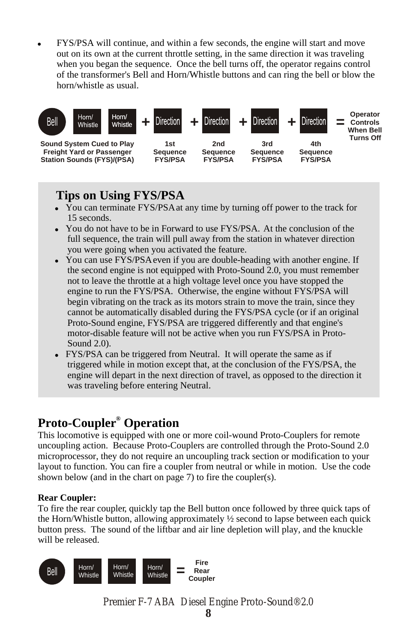! FYS/PSA will continue, and within a few seconds, the engine will start and move out on its own at the current throttle setting, in the same direction it was traveling when you began the sequence. Once the bell turns off, the operator regains control of the transformer's Bell and Horn/Whistle buttons and can ring the bell or blow the horn/whistle as usual.



#### **Tips on Using FYS/PSA**

- You can terminate FYS/PSA at any time by turning off power to the track for 15 seconds.
- ! You do not have to be in Forward to use FYS/PSA. At the conclusion of the full sequence, the train will pull away from the station in whatever direction you were going when you activated the feature.
- You can use FYS/PSA even if you are double-heading with another engine. If the second engine is not equipped with Proto-Sound 2.0, you must remember not to leave the throttle at a high voltage level once you have stopped the engine to run the FYS/PSA. Otherwise, the engine without FYS/PSA will begin vibrating on the track as its motors strain to move the train, since they cannot be automatically disabled during the FYS/PSA cycle (or if an original Proto-Sound engine, FYS/PSA are triggered differently and that engine's motor-disable feature will not be active when you run FYS/PSA in Proto-Sound 2.0).
- FYS/PSA can be triggered from Neutral. It will operate the same as if triggered while in motion except that, at the conclusion of the FYS/PSA, the engine will depart in the next direction of travel, as opposed to the direction it was traveling before entering Neutral.

#### **® Proto-Coupler Operation**

This locomotive is equipped with one or more coil-wound Proto-Couplers for remote uncoupling action. Because Proto-Couplers are controlled through the Proto-Sound 2.0 microprocessor, they do not require an uncoupling track section or modification to your layout to function. You can fire a coupler from neutral or while in motion. Use the code shown below (and in the chart on page 7) to fire the coupler(s).

#### **Rear Coupler:**

To fire the rear coupler, quickly tap the Bell button once followed by three quick taps of the Horn/Whistle button, allowing approximately  $\frac{1}{2}$  second to lapse between each quick button press. The sound of the liftbar and air line depletion will play, and the knuckle will be released.

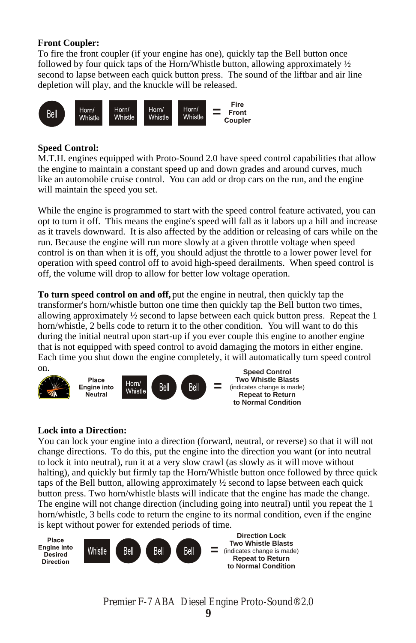#### **Front Coupler:**

To fire the front coupler (if your engine has one), quickly tap the Bell button once followed by four quick taps of the Horn/Whistle button, allowing approximately  $\frac{1}{2}$ second to lapse between each quick button press. The sound of the liftbar and air line depletion will play, and the knuckle will be released.



#### **Speed Control:**

M.T.H. engines equipped with Proto-Sound 2.0 have speed control capabilities that allow the engine to maintain a constant speed up and down grades and around curves, much like an automobile cruise control. You can add or drop cars on the run, and the engine will maintain the speed you set.

While the engine is programmed to start with the speed control feature activated, you can opt to turn it off. This means the engine's speed will fall as it labors up a hill and increase as it travels downward. It is also affected by the addition or releasing of cars while on the run. Because the engine will run more slowly at a given throttle voltage when speed control is on than when it is off, you should adjust the throttle to a lower power level for operation with speed control off to avoid high-speed derailments. When speed control is off, the volume will drop to allow for better low voltage operation.

**To turn speed control on and off,** put the engine in neutral, then quickly tap the transformer's horn/whistle button one time then quickly tap the Bell button two times, allowing approximately  $\frac{1}{2}$  second to lapse between each quick button press. Repeat the 1 horn/whistle, 2 bells code to return it to the other condition. You will want to do this during the initial neutral upon start-up if you ever couple this engine to another engine that is not equipped with speed control to avoid damaging the motors in either engine. Each time you shut down the engine completely, it will automatically turn speed control on.



#### **Lock into a Direction:**

You can lock your engine into a direction (forward, neutral, or reverse) so that it will not change directions. To do this, put the engine into the direction you want (or into neutral to lock it into neutral), run it at a very slow crawl (as slowly as it will move without halting), and quickly but firmly tap the Horn/Whistle button once followed by three quick taps of the Bell button, allowing approximately ½ second to lapse between each quick button press. Two horn/whistle blasts will indicate that the engine has made the change. The engine will not change direction (including going into neutral) until you repeat the 1 horn/whistle, 3 bells code to return the engine to its normal condition, even if the engine is kept without power for extended periods of time.

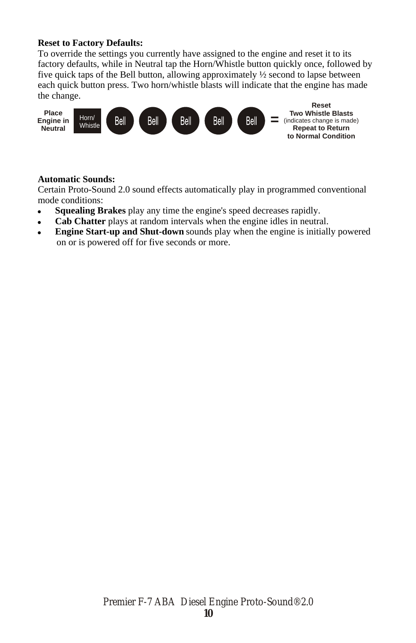#### **Reset to Factory Defaults:**

To override the settings you currently have assigned to the engine and reset it to its factory defaults, while in Neutral tap the Horn/Whistle button quickly once, followed by five quick taps of the Bell button, allowing approximately ½ second to lapse between each quick button press. Two horn/whistle blasts will indicate that the engine has made the change.



#### **Automatic Sounds:**

Certain Proto-Sound 2.0 sound effects automatically play in programmed conventional mode conditions:

- ! **Squealing Brakes** play any time the engine's speed decreases rapidly.
- **Cab Chatter** plays at random intervals when the engine idles in neutral.
- ! **Engine Start-up and Shut-down** sounds play when the engine is initially powered on or is powered off for five seconds or more.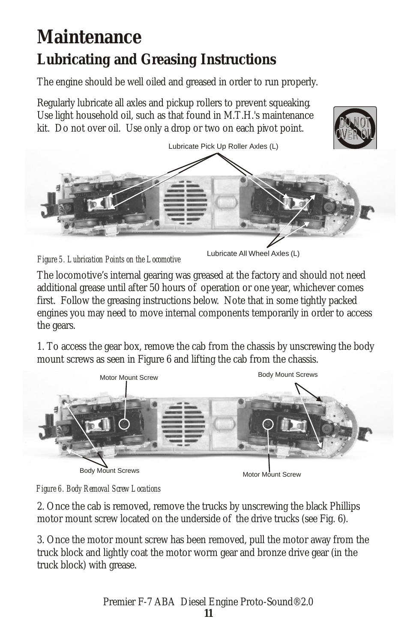## **Maintenance Lubricating and Greasing Instructions**

The engine should be well oiled and greased in order to run properly.

Regularly lubricate all axles and pickup rollers to prevent squeaking. Use light household oil, such as that found in M.T.H.'s maintenance kit. Do not over oil. Use only a drop or two on each pivot point.



![](_page_10_Figure_4.jpeg)

Lubricate All Wheel Axles (L)

DO NOT

DONOT

The locomotive's internal gearing was greased at the factory and should not need additional grease until after 50 hours of operation or one year, whichever comes first. Follow the greasing instructions below. Note that in some tightly packed engines you may need to move internal components temporarily in order to access the gears.

1. To access the gear box, remove the cab from the chassis by unscrewing the body mount screws as seen in Figure 6 and lifting the cab from the chassis.

![](_page_10_Figure_8.jpeg)

![](_page_10_Figure_9.jpeg)

2. Once the cab is removed, remove the trucks by unscrewing the black Phillips motor mount screw located on the underside of the drive trucks (see Fig. 6).

3. Once the motor mount screw has been removed, pull the motor away from the truck block and lightly coat the motor worm gear and bronze drive gear (in the truck block) with grease.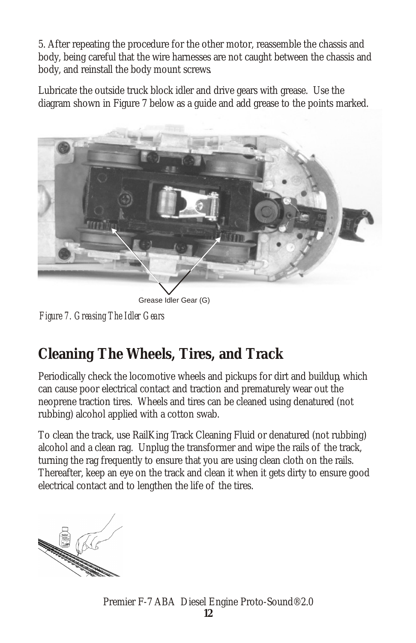5. After repeating the procedure for the other motor, reassemble the chassis and body, being careful that the wire harnesses are not caught between the chassis and body, and reinstall the body mount screws.

Lubricate the outside truck block idler and drive gears with grease. Use the diagram shown in Figure 7 below as a guide and add grease to the points marked.

![](_page_11_Picture_2.jpeg)

Grease Idler Gear (G)

*Figure 7. Greasing The Idler Gears*

## **Cleaning The Wheels, Tires, and Track**

Periodically check the locomotive wheels and pickups for dirt and buildup, which can cause poor electrical contact and traction and prematurely wear out the neoprene traction tires. Wheels and tires can be cleaned using denatured (not rubbing) alcohol applied with a cotton swab.

To clean the track, use RailKing Track Cleaning Fluid or denatured (not rubbing) alcohol and a clean rag. Unplug the transformer and wipe the rails of the track, turning the rag frequently to ensure that you are using clean cloth on the rails. Thereafter, keep an eye on the track and clean it when it gets dirty to ensure good electrical contact and to lengthen the life of the tires.

![](_page_11_Picture_8.jpeg)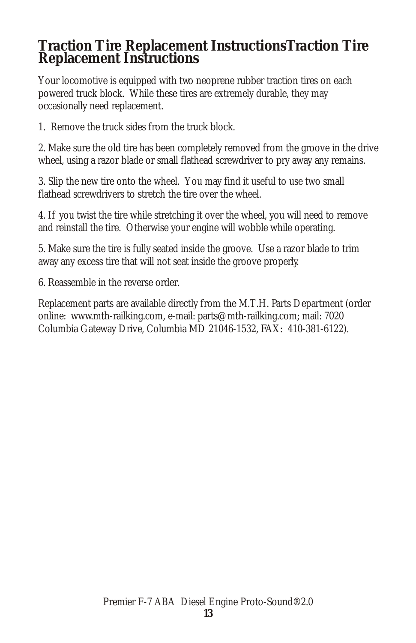### **Traction Tire Replacement InstructionsTraction Tire Replacement Instructions**

Your locomotive is equipped with two neoprene rubber traction tires on each powered truck block. While these tires are extremely durable, they may occasionally need replacement.

1. Remove the truck sides from the truck block.

2. Make sure the old tire has been completely removed from the groove in the drive wheel, using a razor blade or small flathead screwdriver to pry away any remains.

3. Slip the new tire onto the wheel. You may find it useful to use two small flathead screwdrivers to stretch the tire over the wheel.

4. If you twist the tire while stretching it over the wheel, you will need to remove and reinstall the tire. Otherwise your engine will wobble while operating.

5. Make sure the tire is fully seated inside the groove. Use a razor blade to trim away any excess tire that will not seat inside the groove properly.

6. Reassemble in the reverse order.

Replacement parts are available directly from the M.T.H. Parts Department (order online: www.mth-railking.com, e-mail: parts@mth-railking.com; mail: 7020 Columbia Gateway Drive, Columbia MD 21046-1532, FAX: 410-381-6122).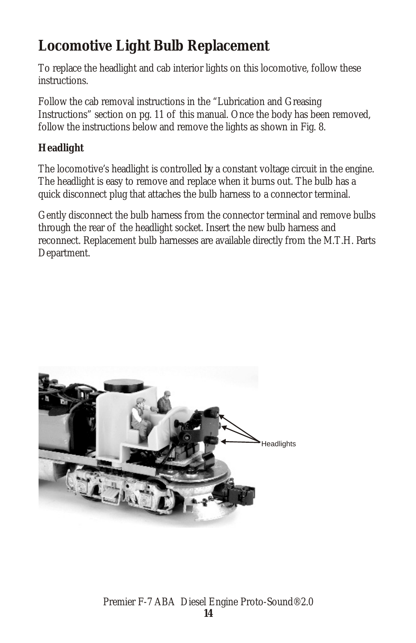## **Locomotive Light Bulb Replacement**

To replace the headlight and cab interior lights on this locomotive, follow these instructions.

Follow the cab removal instructions in the "Lubrication and Greasing Instructions" section on pg. 11 of this manual. Once the body has been removed, follow the instructions below and remove the lights as shown in Fig. 8.

#### **Headlight**

The locomotive's headlight is controlled by a constant voltage circuit in the engine. The headlight is easy to remove and replace when it burns out. The bulb has a quick disconnect plug that attaches the bulb harness to a connector terminal.

Gently disconnect the bulb harness from the connector terminal and remove bulbs through the rear of the headlight socket. Insert the new bulb harness and reconnect. Replacement bulb harnesses are available directly from the M.T.H. Parts Department.

![](_page_13_Picture_6.jpeg)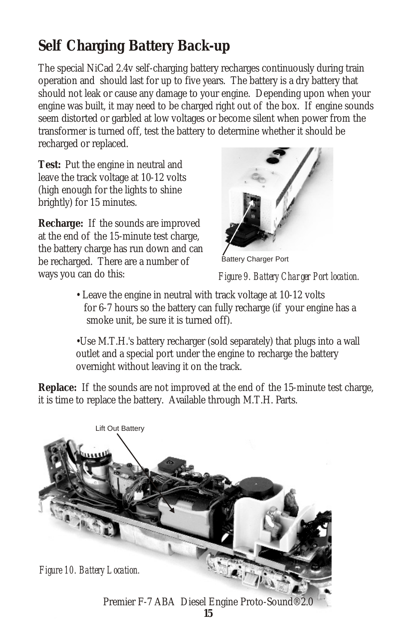## **Self Charging Battery Back-up**

The special NiCad 2.4v self-charging battery recharges continuously during train operation and should last for up to five years. The battery is a dry battery that should not leak or cause any damage to your engine. Depending upon when your engine was built, it may need to be charged right out of the box. If engine sounds seem distorted or garbled at low voltages or become silent when power from the transformer is turned off, test the battery to determine whether it should be recharged or replaced.

**Test:** Put the engine in neutral and leave the track voltage at 10-12 volts (high enough for the lights to shine brightly) for 15 minutes.

**Recharge:** If the sounds are improved at the end of the 15-minute test charge, the battery charge has run down and can be recharged. There are a number of ways you can do this:

![](_page_14_Picture_4.jpeg)

Battery Charger Port

*Figure 9. Battery Charger Port location.*

• Leave the engine in neutral with track voltage at 10-12 volts for 6-7 hours so the battery can fully recharge (if your engine has a smoke unit, be sure it is turned off).

•Use M.T.H.'s battery recharger (sold separately) that plugs into a wall outlet and a special port under the engine to recharge the battery overnight without leaving it on the track.

**Replace:** If the sounds are not improved at the end of the 15-minute test charge, it is time to replace the battery. Available through M.T.H. Parts.

![](_page_14_Picture_10.jpeg)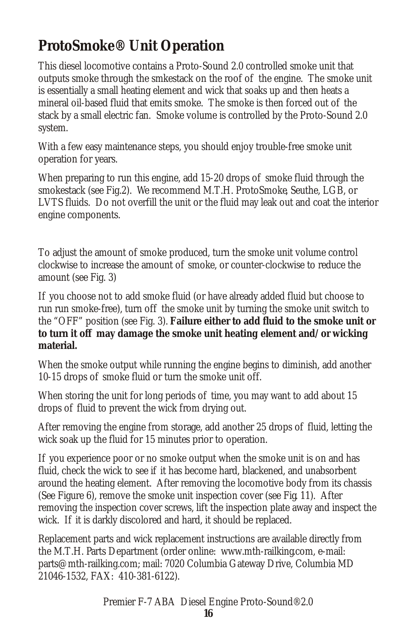## **ProtoSmoke® Unit Operation**

This diesel locomotive contains a Proto-Sound 2.0 controlled smoke unit that outputs smoke through the smkestack on the roof of the engine. The smoke unit is essentially a small heating element and wick that soaks up and then heats a mineral oil-based fluid that emits smoke. The smoke is then forced out of the stack by a small electric fan. Smoke volume is controlled by the Proto-Sound 2.0 system.

With a few easy maintenance steps, you should enjoy trouble-free smoke unit operation for years.

When preparing to run this engine, add 15-20 drops of smoke fluid through the smokestack (see Fig.2). We recommend M.T.H. ProtoSmoke, Seuthe, LGB, or LVTS fluids. Do not overfill the unit or the fluid may leak out and coat the interior engine components.

To adjust the amount of smoke produced, turn the smoke unit volume control clockwise to increase the amount of smoke, or counter-clockwise to reduce the amount (see Fig. 3)

If you choose not to add smoke fluid (or have already added fluid but choose to run run smoke-free), turn off the smoke unit by turning the smoke unit switch to the "OFF" position (see Fig. 3). **Failure either to add fluid to the smoke unit or to turn it off may damage the smoke unit heating element and/or wicking material.**

When the smoke output while running the engine begins to diminish, add another 10-15 drops of smoke fluid or turn the smoke unit off.

When storing the unit for long periods of time, you may want to add about 15 drops of fluid to prevent the wick from drying out.

After removing the engine from storage, add another 25 drops of fluid, letting the wick soak up the fluid for 15 minutes prior to operation.

If you experience poor or no smoke output when the smoke unit is on and has fluid, check the wick to see if it has become hard, blackened, and unabsorbent around the heating element. After removing the locomotive body from its chassis (See Figure 6), remove the smoke unit inspection cover (see Fig. 11). After removing the inspection cover screws, lift the inspection plate away and inspect the wick. If it is darkly discolored and hard, it should be replaced.

Replacement parts and wick replacement instructions are available directly from the M.T.H. Parts Department (order online: www.mth-railking.com, e-mail: parts@mth-railking.com; mail: 7020 Columbia Gateway Drive, Columbia MD 21046-1532, FAX: 410-381-6122).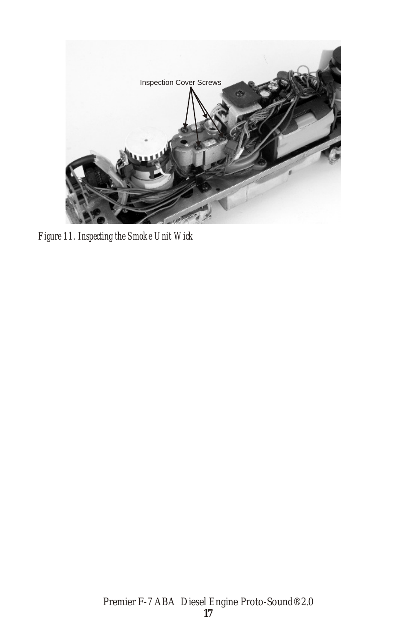![](_page_16_Picture_0.jpeg)

*Figure 11. Inspecting the Smoke Unit Wick*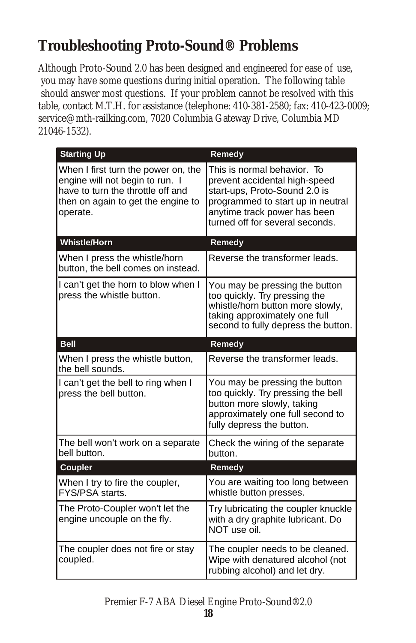## **Troubleshooting Proto-Sound® Problems**

Although Proto-Sound 2.0 has been designed and engineered for ease of use, you may have some questions during initial operation. The following table should answer most questions. If your problem cannot be resolved with this table, contact M.T.H. for assistance (telephone: 410-381-2580; fax: 410-423-0009; service@mth-railking.com, 7020 Columbia Gateway Drive, Columbia MD 21046-1532).

| <b>Starting Up</b>                                                                                                                                            | Remedy                                                                                                                                                                                                |
|---------------------------------------------------------------------------------------------------------------------------------------------------------------|-------------------------------------------------------------------------------------------------------------------------------------------------------------------------------------------------------|
| When I first turn the power on, the<br>engine will not begin to run. I<br>have to turn the throttle off and<br>then on again to get the engine to<br>operate. | This is normal behavior. To<br>prevent accidental high-speed<br>start-ups, Proto-Sound 2.0 is<br>programmed to start up in neutral<br>anytime track power has been<br>turned off for several seconds. |
| <b>Whistle/Horn</b>                                                                                                                                           | Remedy                                                                                                                                                                                                |
| When I press the whistle/horn<br>button, the bell comes on instead.                                                                                           | Reverse the transformer leads.                                                                                                                                                                        |
| I can't get the horn to blow when I<br>press the whistle button.                                                                                              | You may be pressing the button<br>too quickly. Try pressing the<br>whistle/horn button more slowly,<br>taking approximately one full<br>second to fully depress the button.                           |
| <b>Bell</b>                                                                                                                                                   | Remedy                                                                                                                                                                                                |
| When I press the whistle button,<br>the bell sounds.                                                                                                          | Reverse the transformer leads.                                                                                                                                                                        |
| I can't get the bell to ring when I<br>press the bell button.                                                                                                 | You may be pressing the button<br>too quickly. Try pressing the bell<br>button more slowly, taking<br>approximately one full second to<br>fully depress the button.                                   |
| The bell won't work on a separate<br>bell button.                                                                                                             | Check the wiring of the separate<br>button.                                                                                                                                                           |
| Coupler                                                                                                                                                       | Remedy                                                                                                                                                                                                |
| When I try to fire the coupler,<br>FYS/PSA starts.                                                                                                            | You are waiting too long between<br>whistle button presses.                                                                                                                                           |
| The Proto-Coupler won't let the<br>engine uncouple on the fly.                                                                                                | Try lubricating the coupler knuckle<br>with a dry graphite lubricant. Do<br>NOT use oil.                                                                                                              |
| The coupler does not fire or stay<br>coupled.                                                                                                                 | The coupler needs to be cleaned.<br>Wipe with denatured alcohol (not<br>rubbing alcohol) and let dry.                                                                                                 |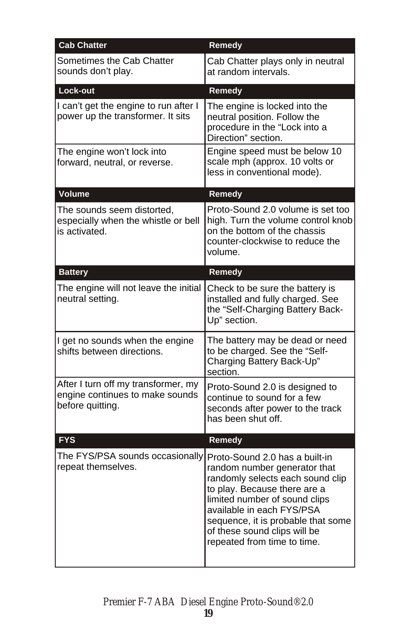| <b>Cab Chatter</b>                                                                         | Remedy                                                                                                                                                                                                                                                                                                |
|--------------------------------------------------------------------------------------------|-------------------------------------------------------------------------------------------------------------------------------------------------------------------------------------------------------------------------------------------------------------------------------------------------------|
| Sometimes the Cab Chatter<br>sounds don't play.                                            | Cab Chatter plays only in neutral<br>at random intervals.                                                                                                                                                                                                                                             |
| Lock-out                                                                                   | Remedy                                                                                                                                                                                                                                                                                                |
| I can't get the engine to run after I<br>power up the transformer. It sits                 | The engine is locked into the<br>neutral position. Follow the<br>procedure in the "Lock into a<br>Direction" section.                                                                                                                                                                                 |
| The engine won't lock into<br>forward, neutral, or reverse.                                | Engine speed must be below 10<br>scale mph (approx. 10 volts or<br>less in conventional mode).                                                                                                                                                                                                        |
| <b>Volume</b>                                                                              | Remedy                                                                                                                                                                                                                                                                                                |
| The sounds seem distorted,<br>especially when the whistle or bell<br>is activated.         | Proto-Sound 2.0 volume is set too<br>high. Turn the volume control knob<br>on the bottom of the chassis<br>counter-clockwise to reduce the<br>volume.                                                                                                                                                 |
| <b>Battery</b>                                                                             | Remedy                                                                                                                                                                                                                                                                                                |
| The engine will not leave the initial<br>neutral setting.                                  | Check to be sure the battery is<br>installed and fully charged. See<br>the "Self-Charging Battery Back-<br>Up" section.                                                                                                                                                                               |
| I get no sounds when the engine<br>shifts between directions.                              | The battery may be dead or need<br>to be charged. See the "Self-<br>Charging Battery Back-Up"<br>section.                                                                                                                                                                                             |
| After I turn off my transformer, my<br>engine continues to make sounds<br>before quitting. | Proto-Sound 2.0 is designed to<br>continue to sound for a few<br>seconds after power to the track<br>has been shut off.                                                                                                                                                                               |
| <b>FYS</b>                                                                                 | Remedy                                                                                                                                                                                                                                                                                                |
| The FYS/PSA sounds occasionally<br>repeat themselves.                                      | Proto-Sound 2.0 has a built-in<br>random number generator that<br>randomly selects each sound clip<br>to play. Because there are a<br>limited number of sound clips<br>available in each FYS/PSA<br>sequence, it is probable that some<br>of these sound clips will be<br>repeated from time to time. |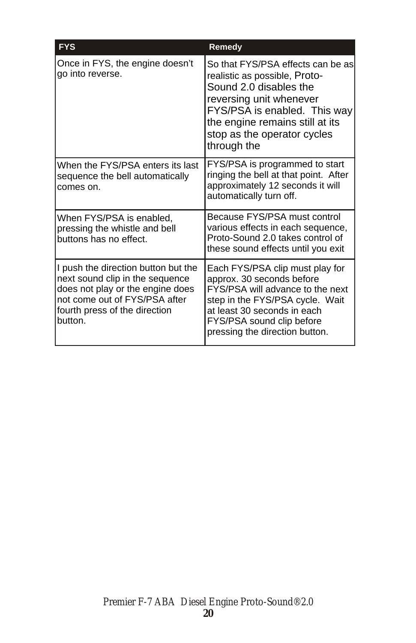| <b>FYS</b>                                                                                                                                                                              | Remedy                                                                                                                                                                                                                                   |
|-----------------------------------------------------------------------------------------------------------------------------------------------------------------------------------------|------------------------------------------------------------------------------------------------------------------------------------------------------------------------------------------------------------------------------------------|
| Once in FYS, the engine doesn't<br>go into reverse.                                                                                                                                     | So that FYS/PSA effects can be as<br>realistic as possible, Proto-<br>Sound 2.0 disables the<br>reversing unit whenever<br>FYS/PSA is enabled. This way<br>the engine remains still at its<br>stop as the operator cycles<br>through the |
| When the FYS/PSA enters its last<br>sequence the bell automatically<br>comes on.                                                                                                        | FYS/PSA is programmed to start<br>ringing the bell at that point. After<br>approximately 12 seconds it will<br>automatically turn off.                                                                                                   |
| When FYS/PSA is enabled,<br>pressing the whistle and bell<br>buttons has no effect.                                                                                                     | Because FYS/PSA must control<br>various effects in each sequence,<br>Proto-Sound 2.0 takes control of<br>these sound effects until you exit                                                                                              |
| I push the direction button but the<br>next sound clip in the sequence<br>does not play or the engine does<br>not come out of FYS/PSA after<br>fourth press of the direction<br>button. | Each FYS/PSA clip must play for<br>approx. 30 seconds before<br>FYS/PSA will advance to the next<br>step in the FYS/PSA cycle. Wait<br>at least 30 seconds in each<br>FYS/PSA sound clip before<br>pressing the direction button.        |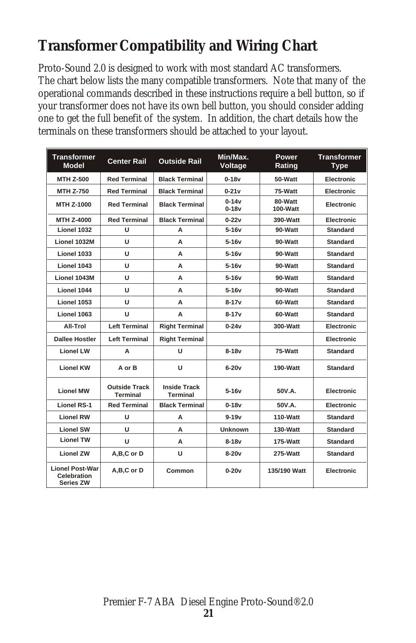## **Transformer Compatibility and Wiring Chart**

Proto-Sound 2.0 is designed to work with most standard AC transformers. The chart below lists the many compatible transformers. Note that many of the operational commands described in these instructions require a bell button, so if your transformer does not have its own bell button, you should consider adding one to get the full benefit of the system. In addition, the chart details how the terminals on these transformers should be attached to your layout.

| <b>Transformer</b><br><b>Model</b>                 | <b>Center Rail</b>                      | <b>Outside Rail</b>                    | Min/Max.<br>Voltage  | Power<br>Rating     | <b>Transformer</b><br><b>Type</b> |
|----------------------------------------------------|-----------------------------------------|----------------------------------------|----------------------|---------------------|-----------------------------------|
| <b>MTH Z-500</b>                                   | <b>Red Terminal</b>                     | <b>Black Terminal</b>                  | $0 - 18v$            | 50-Watt             | <b>Electronic</b>                 |
| <b>MTH Z-750</b>                                   | <b>Red Terminal</b>                     | <b>Black Terminal</b>                  | $0 - 21v$            | 75-Watt             | Electronic                        |
| MTH Z-1000                                         | <b>Red Terminal</b>                     | <b>Black Terminal</b>                  | $0 - 14v$<br>$0-18v$ | 80-Watt<br>100-Watt | Electronic                        |
| <b>MTH Z-4000</b>                                  | <b>Red Terminal</b>                     | <b>Black Terminal</b>                  | $0 - 22v$            | 390-Watt            | Electronic                        |
| Lionel 1032                                        | U                                       | А                                      | $5-16v$              | 90-Watt             | <b>Standard</b>                   |
| Lionel 1032M                                       | U                                       | A                                      | $5-16v$              | 90-Watt             | <b>Standard</b>                   |
| Lionel 1033                                        | U                                       | A                                      | $5-16v$              | 90-Watt             | <b>Standard</b>                   |
| Lionel 1043                                        | U                                       | A                                      | $5-16v$              | 90-Watt             | <b>Standard</b>                   |
| Lionel 1043M                                       | U                                       | A                                      | $5-16v$              | 90-Watt             | <b>Standard</b>                   |
| Lionel 1044                                        | U                                       | А                                      | 5-16v                | 90-Watt             | <b>Standard</b>                   |
| Lionel 1053                                        | U                                       | A                                      | $8 - 17v$            | 60-Watt             | <b>Standard</b>                   |
| Lionel 1063                                        | U                                       | A                                      | $8 - 17v$            | 60-Watt             | <b>Standard</b>                   |
| All-Trol                                           | <b>Left Terminal</b>                    | <b>Right Terminal</b>                  | $0 - 24v$            | 300-Watt            | Electronic                        |
| <b>Dallee Hostler</b>                              | <b>Left Terminal</b>                    | <b>Right Terminal</b>                  |                      |                     | <b>Electronic</b>                 |
| <b>Lionel LW</b>                                   | A                                       | U                                      | $8-18v$              | 75-Watt             | <b>Standard</b>                   |
| <b>Lionel KW</b>                                   | A or B                                  | U                                      | $6-20v$              | 190-Watt            | <b>Standard</b>                   |
| <b>Lionel MW</b>                                   | <b>Outside Track</b><br><b>Terminal</b> | <b>Inside Track</b><br><b>Terminal</b> | $5-16v$              | 50V.A.              | <b>Electronic</b>                 |
| <b>Lionel RS-1</b>                                 | <b>Red Terminal</b>                     | <b>Black Terminal</b>                  | $0 - 18v$            | 50V.A.              | Electronic                        |
| <b>Lionel RW</b>                                   | U                                       | A                                      | $9 - 19v$            | 110-Watt            | <b>Standard</b>                   |
| <b>Lionel SW</b>                                   | U                                       | А                                      | <b>Unknown</b>       | 130-Watt            | <b>Standard</b>                   |
| <b>Lionel TW</b>                                   | U                                       | А                                      | $8-18v$              | 175-Watt            | <b>Standard</b>                   |
| <b>Lionel ZW</b>                                   | A,B,C or D                              | U                                      | $8-20v$              | 275-Watt            | <b>Standard</b>                   |
| <b>Lionel Post-War</b><br>Celebration<br>Series ZW | A,B,C or D                              | Common                                 | $0-20v$              | 135/190 Watt        | Electronic                        |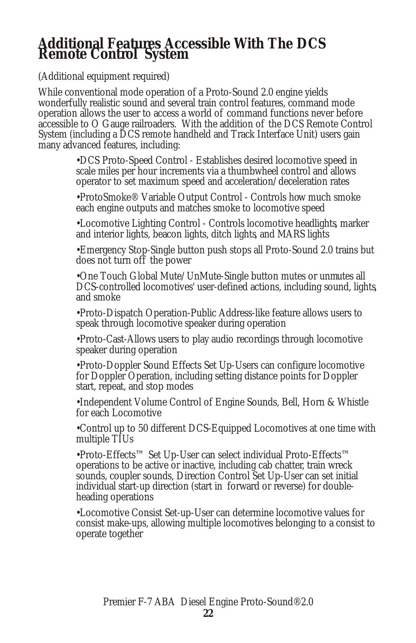# **Additional Features Accessible With The DCS Remote Control System**

(Additional equipment required)

While conventional mode operation of a Proto-Sound 2.0 engine yields wonderfully realistic sound and several train control features, command mode operation allows the user to access a world of command functions never before accessible to O Gauge railroaders. With the addition of the DCS Remote Control System (including a DCS remote handheld and Track Interface Unit) users gain many advanced features, including:

> •DCS Proto-Speed Control - Establishes desired locomotive speed in scale miles per hour increments via a thumbwheel control and allows operator to set maximum speed and acceleration/deceleration rates

> •ProtoSmoke® Variable Output Control - Controls how much smoke each engine outputs and matches smoke to locomotive speed

•Locomotive Lighting Control - Controls locomotive headlights, marker and interior lights, beacon lights, ditch lights, and MARS lights

•Emergency Stop-Single button push stops all Proto-Sound 2.0 trains but does not turn off the power

•One Touch Global Mute/UnMute-Single button mutes or unmutes all DCS-controlled locomotives' user-defined actions, including sound, lights, and smoke

•Proto-Dispatch Operation-Public Address-like feature allows users to speak through locomotive speaker during operation

•Proto-Cast-Allows users to play audio recordings through locomotive speaker during operation

•Proto-Doppler Sound Effects Set Up-Users can configure locomotive for Doppler Operation, including setting distance points for Doppler start, repeat, and stop modes

•Independent Volume Control of Engine Sounds, Bell, Horn & Whistle for each Locomotive

•Control up to 50 different DCS-Equipped Locomotives at one time with multiple TIUs

•Proto-Effects™ Set Up-User can select individual Proto-Effects™ operations to be active or inactive, including cab chatter, train wreck sounds, coupler sounds, Direction Control Set Up-User can set initial individual start-up direction (start in forward or reverse) for doubleheading operations

•Locomotive Consist Set-up-User can determine locomotive values for consist make-ups, allowing multiple locomotives belonging to a consist to operate together